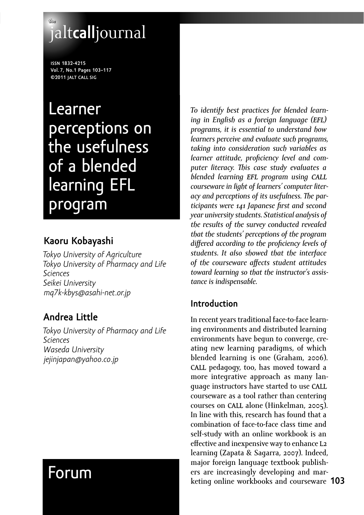# **the** jalt**call**journal

**ISSN 1832-4215 Vol. 7, No.1 Pages 103–117 ©2011 JALT CALL SIG**

Learner perceptions on the usefulness of a blended learning EFL program

# **Kaoru Kobayashi**

*Tokyo University of Agriculture Tokyo University of Pharmacy and Life Sciences Seikei University mq7k-kbys@asahi-net.or.jp*

# **Andrea Little**

*Tokyo University of Pharmacy and Life Sciences Waseda University jejinjapan@yahoo.co.jp*

# Forum

*To identify best practices for blended learning in English as a foreign language (EFL) programs, it is essential to understand how learners perceive and evaluate such programs, taking into consideration such variables as*  learner attitude, proficiency level and com*puter literacy. - is case study evaluates a blended learning EFL program using CALL courseware in light of learners' computer liter*acy and perceptions of its usefulness. The par*ticipants were Japanese fi rst and second year university students. Statistical analysis of the results of the survey conducted revealed that the students' perceptions of the program differed according to the proficiency levels of students. It also showed that the interface of the courseware aff ects student attitudes toward learning so that the instructor's assistance is indispensable.* 

# **Introduction**

**103** keting online workbooks and courseware In recent years traditional face-to-face learning environments and distributed learning environments have begun to converge, creating new learning paradigms, of which blended learning is one (Graham, 2006). CALL pedagogy, too, has moved toward a more integrative approach as many language instructors have started to use CALL courseware as a tool rather than centering courses on **CALL** alone (Hinkelman, 2005). In line with this, research has found that a combination of face-to-face class time and self-study with an online workbook is an effective and inexpensive way to enhance  $L_2$ learning (Zapata & Sagarra, 2007). Indeed, major foreign language textbook publishers are increasingly developing and mar-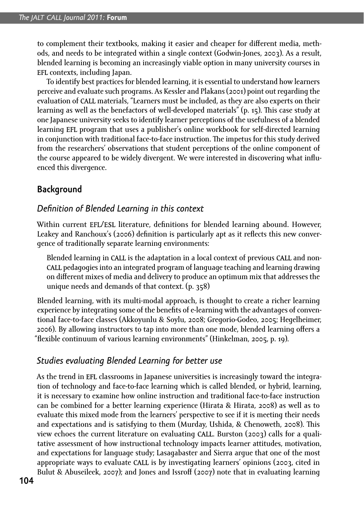to complement their textbooks, making it easier and cheaper for different media, methods, and needs to be integrated within a single context (Godwin-Jones, 2003). As a result, blended learning is becoming an increasingly viable option in many university courses in EFL contexts, including Japan.

To identify best practices for blended learning, it is essential to understand how learners perceive and evaluate such programs. As Kessler and Plakans (2001) point out regarding the evaluation of CALL materials, "Learners must be included, as they are also experts on their learning as well as the benefactors of well-developed materials" (p. 15). This case study at one Japanese university seeks to identify learner perceptions of the usefulness of a blended learning EFL program that uses a publisher's online workbook for self-directed learning in conjunction with traditional face-to-face instruction. The impetus for this study derived from the researchers' observations that student perceptions of the online component of the course appeared to be widely divergent. We were interested in discovering what influenced this divergence.

## **Background**

#### *Defi nition of Blended Learning in this context*

Within current EFL/ESL literature, definitions for blended learning abound. However, Leakey and Ranchoux's (2006) definition is particularly apt as it reflects this new convergence of traditionally separate learning environments:

Blended learning in CALL is the adaptation in a local context of previous CALL and non-CALL pedagogies into an integrated program of language teaching and learning drawing on different mixes of media and delivery to produce an optimum mix that addresses the unique needs and demands of that context.  $(p. 358)$ 

Blended learning, with its multi-modal approach, is thought to create a richer learning experience by integrating some of the benefits of e-learning with the advantages of conventional face-to-face classes (Akkoyunlu & Soylu, 2008; Gregorio-Godeo, 2005; Hegelheimer, -). By allowing instructors to tap into more than one mode, blended learning off ers a "flexible continuum of various learning environments" (Hinkelman, 2005, p. 19).

#### *Studies evaluating Blended Learning for better use*

As the trend in EFL classrooms in Japanese universities is increasingly toward the integration of technology and face-to-face learning which is called blended, or hybrid, learning, it is necessary to examine how online instruction and traditional face-to-face instruction can be combined for a better learning experience (Hirata & Hirata, 2008) as well as to evaluate this mixed mode from the learners' perspective to see if it is meeting their needs and expectations and is satisfying to them (Murday, Ushida, & Chenoweth, 2008). This view echoes the current literature on evaluating **CALL**. Burston (2003) calls for a qualitative assessment of how instructional technology impacts learner attitudes, motivation, and expectations for language study; Lasagabaster and Sierra argue that one of the most appropriate ways to evaluate **CALL** is by investigating learners' opinions (2003, cited in Bulut & Abuseileek, 2007); and Jones and Issroff (2007) note that in evaluating learning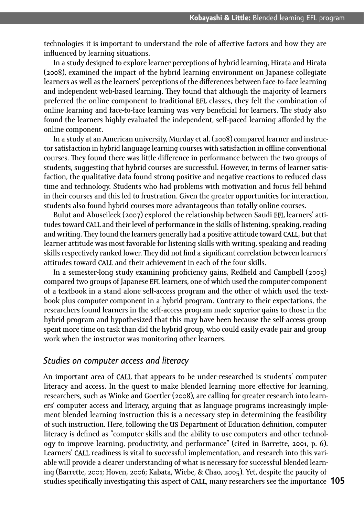technologies it is important to understand the role of affective factors and how they are influenced by learning situations.

In a study designed to explore learner perceptions of hybrid learning, Hirata and Hirata (2008), examined the impact of the hybrid learning environment on Japanese collegiate learners as well as the learners' perceptions of the differences between face-to-face learning and independent web-based learning. They found that although the majority of learners preferred the online component to traditional EFL classes, they felt the combination of online learning and face-to-face learning was very beneficial for learners. The study also found the learners highly evaluated the independent, self-paced learning afforded by the online component.

In a study at an American university, Murday et al. (2008) compared learner and instructor satisfaction in hybrid language learning courses with satisfaction in offline conventional courses. They found there was little difference in performance between the two groups of students, suggesting that hybrid courses are successful. However, in terms of learner satisfaction, the qualitative data found strong positive and negative reactions to reduced class time and technology. Students who had problems with motivation and focus fell behind in their courses and this led to frustration. Given the greater opportunities for interaction, students also found hybrid courses more advantageous than totally online courses.

Bulut and Abuseileek (2007) explored the relationship between Saudi **EFL** learners' attitudes toward CALL and their level of performance in the skills of listening, speaking, reading and writing. They found the learners generally had a positive attitude toward **CALL**, but that learner attitude was most favorable for listening skills with writing, speaking and reading skills respectively ranked lower. They did not find a significant correlation between learners' attitudes toward CALL and their achievement in each of the four skills.

In a semester-long study examining proficiency gains, Redfield and Campbell (2005) compared two groups of Japanese EFL learners, one of which used the computer component of a textbook in a stand alone self-access program and the other of which used the textbook plus computer component in a hybrid program. Contrary to their expectations, the researchers found learners in the self-access program made superior gains to those in the hybrid program and hypothesized that this may have been because the self-access group spent more time on task than did the hybrid group, who could easily evade pair and group work when the instructor was monitoring other learners.

#### *Studies on computer access and literacy*

studies specifically investigating this aspect of **CALL**, many researchers see the importance **105** An important area of CALL that appears to be under-researched is students' computer literacy and access. In the quest to make blended learning more effective for learning, researchers, such as Winke and Goertler (2008), are calling for greater research into learners' computer access and literacy, arguing that as language programs increasingly implement blended learning instruction this is a necessary step in determining the feasibility of such instruction. Here, following the US Department of Education definition, computer literacy is defined as "computer skills and the ability to use computers and other technology to improve learning, productivity, and performance" (cited in Barrette, 2001, p. 6). Learners' CALL readiness is vital to successful implementation, and research into this variable will provide a clearer understanding of what is necessary for successful blended learning (Barrette, 2001; Hoven, 2006; Kabata, Wiebe, & Chao, 2005). Yet, despite the paucity of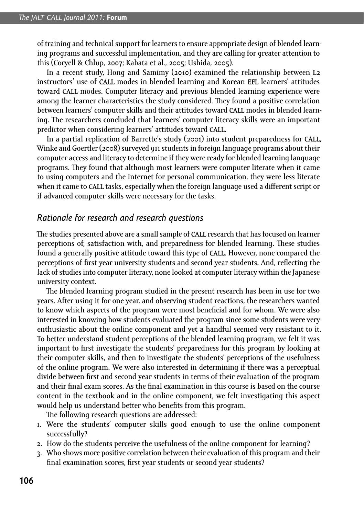of training and technical support for learners to ensure appropriate design of blended learning programs and successful implementation, and they are calling for greater attention to this (Coryell & Chlup, 2007; Kabata et al., 2005; Ushida, 2005).

In a recent study, Hong and Samimy (2010) examined the relationship between **L**2 instructors' use of CALL modes in blended learning and Korean EFL learners' attitudes toward CALL modes. Computer literacy and previous blended learning experience were among the learner characteristics the study considered. They found a positive correlation between learners' computer skills and their attitudes toward CALL modes in blended learning. The researchers concluded that learners' computer literacy skills were an important predictor when considering learners' attitudes toward CALL.

In a partial replication of Barrette's study (2001) into student preparedness for **CALL**, Winke and Goertler (2008) surveyed 911 students in foreign language programs about their computer access and literacy to determine if they were ready for blended learning language programs. They found that although most learners were computer literate when it came to using computers and the Internet for personal communication, they were less literate when it came to CALL tasks, especially when the foreign language used a different script or if advanced computer skills were necessary for the tasks.

#### *Rationale for research and research questions*

The studies presented above are a small sample of **CALL** research that has focused on learner perceptions of, satisfaction with, and preparedness for blended learning. These studies found a generally positive attitude toward this type of CALL. However, none compared the perceptions of first year university students and second year students. And, reflecting the lack of studies into computer literacy, none looked at computer literacy within the Japanese university context.

The blended learning program studied in the present research has been in use for two years. After using it for one year, and observing student reactions, the researchers wanted to know which aspects of the program were most beneficial and for whom. We were also interested in knowing how students evaluated the program since some students were very enthusiastic about the online component and yet a handful seemed very resistant to it. To better understand student perceptions of the blended learning program, we felt it was important to first investigate the students' preparedness for this program by looking at their computer skills, and then to investigate the students' perceptions of the usefulness of the online program. We were also interested in determining if there was a perceptual divide between first and second year students in terms of their evaluation of the program and their final exam scores. As the final examination in this course is based on the course content in the textbook and in the online component, we felt investigating this aspect would help us understand better who benefits from this program.

The following research questions are addressed:

- . Were the students' computer skills good enough to use the online component successfully?
- -. How do the students perceive the usefulness of the online component for learning?
- . Who shows more positive correlation between their evaluation of this program and their final examination scores, first year students or second year students?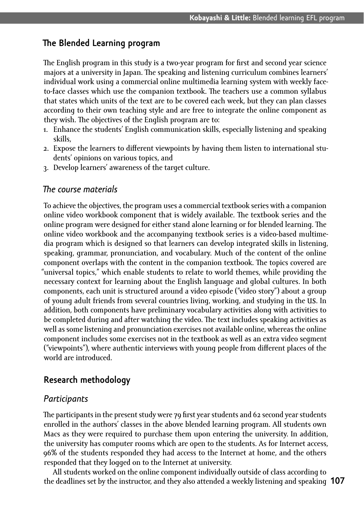## **- e Blended Learning program**

The English program in this study is a two-year program for first and second year science majors at a university in Japan. The speaking and listening curriculum combines learners' individual work using a commercial online multimedia learning system with weekly faceto-face classes which use the companion textbook. The teachers use a common syllabus that states which units of the text are to be covered each week, but they can plan classes according to their own teaching style and are free to integrate the online component as they wish. The objectives of the English program are to:

- . Enhance the students' English communication skills, especially listening and speaking skills,
- 2. Expose the learners to different viewpoints by having them listen to international students' opinions on various topics, and
- . Develop learners' awareness of the target culture.

### *- e course materials*

To achieve the objectives, the program uses a commercial textbook series with a companion online video workbook component that is widely available. The textbook series and the online program were designed for either stand alone learning or for blended learning. The online video workbook and the accompanying textbook series is a video-based multimedia program which is designed so that learners can develop integrated skills in listening, speaking, grammar, pronunciation, and vocabulary. Much of the content of the online component overlaps with the content in the companion textbook. The topics covered are "universal topics," which enable students to relate to world themes, while providing the necessary context for learning about the English language and global cultures. In both components, each unit is structured around a video episode ("video story") about a group of young adult friends from several countries living, working, and studying in the US. In addition, both components have preliminary vocabulary activities along with activities to be completed during and after watching the video. The text includes speaking activities as well as some listening and pronunciation exercises not available online, whereas the online component includes some exercises not in the textbook as well as an extra video segment ("viewpoints"), where authentic interviews with young people from different places of the world are introduced.

#### **Research methodology**

#### *Participants*

The participants in the present study were 79 first year students and 62 second year students  $\;$ enrolled in the authors' classes in the above blended learning program. All students own Macs as they were required to purchase them upon entering the university. In addition, the university has computer rooms which are open to the students. As for Internet access, % of the students responded they had access to the Internet at home, and the others responded that they logged on to the Internet at university.

**107** the deadlines set by the instructor, and they also attended a weekly listening and speaking All students worked on the online component individually outside of class according to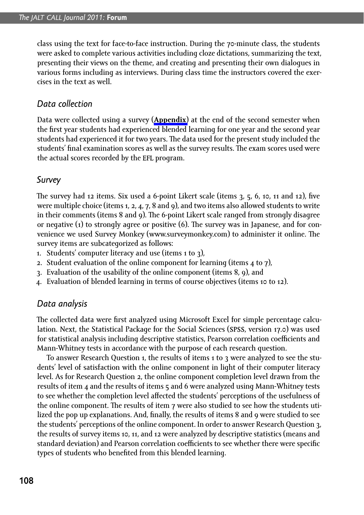class using the text for face-to-face instruction. During the 70-minute class, the students were asked to complete various activities including cloze dictations, summarizing the text, presenting their views on the theme, and creating and presenting their own dialogues in various forms including as interviews. During class time the instructors covered the exercises in the text as well.

#### *Data collection*

Data were collected using a survey (**[Appendix](http://www.jaltcall.org/journal/articles/7_1_Kobayashi_Appendix.pdf)**) at the end of the second semester when the first year students had experienced blended learning for one year and the second year students had experienced it for two years. The data used for the present study included the students' final examination scores as well as the survey results. The exam scores used were the actual scores recorded by the EFL program.

#### *Survey*

The survey had 12 items. Six used a 6-point Likert scale (items 3, 5, 6, 10, 11 and 12), five were multiple choice (items 1, 2, 4, 7, 8 and 9), and two items also allowed students to write in their comments (items 8 and 9). The 6-point Likert scale ranged from strongly disagree or negative (1) to strongly agree or positive (6). The survey was in Japanese, and for convenience we used Survey Monkey (www.surveymonkey.com) to administer it online. The survey items are subcategorized as follows:

- 1. Students' computer literacy and use (items  $1$  to  $3$ ),
- 2. Student evaluation of the online component for learning (items 4 to 7),
- 3. Evaluation of the usability of the online component (items  $8, 9$ ), and
- 4. Evaluation of blended learning in terms of course objectives (items 10 to 12).

#### *Data analysis*

The collected data were first analyzed using Microsoft Excel for simple percentage calculation. Next, the Statistical Package for the Social Sciences (SPSS, version 17.0) was used for statistical analysis including descriptive statistics, Pearson correlation coefficients and Mann-Whitney tests in accordance with the purpose of each research question.

To answer Research Question 1, the results of items 1 to 3 were analyzed to see the students' level of satisfaction with the online component in light of their computer literacy level. As for Research Question 2, the online component completion level drawn from the results of item 4 and the results of items 5 and 6 were analyzed using Mann-Whitney tests to see whether the completion level affected the students' perceptions of the usefulness of the online component. The results of item  $7$  were also studied to see how the students utilized the pop up explanations. And, finally, the results of items 8 and 9 were studied to see the students' perceptions of the online component. In order to answer Research Question 3, the results of survey items 10, 11, and 12 were analyzed by descriptive statistics (means and standard deviation) and Pearson correlation coefficients to see whether there were specific types of students who benefited from this blended learning.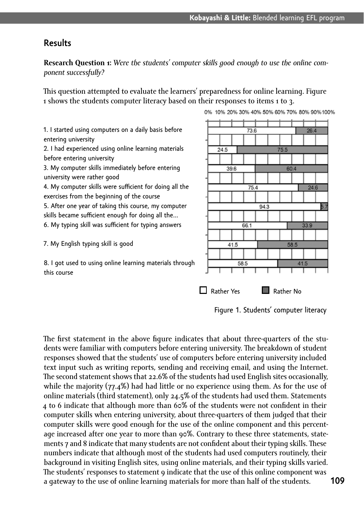#### **Results**

Research Question 1: Were the students' computer skills good enough to use the online com*ponent successfully?*

This question attempted to evaluate the learners' preparedness for online learning. Figure 1 shows the students computer literacy based on their responses to items 1 to 3.

1. I started using computers on a daily basis before entering university

2. I had experienced using online learning materials before entering university

- 3. My computer skills immediately before entering university were rather good
- 4. My computer skills were sufficient for doing all the exercises from the beginning of the course

5. After one year of taking this course, my computer skills became sufficient enough for doing all the...

6. My typing skill was sufficient for typing answers

7. My English typing skill is good

8. I got used to using online learning materials through this course



Figure 1. Students' computer literacy

The first statement in the above figure indicates that about three-quarters of the students were familiar with computers before entering university. The breakdown of student responses showed that the students' use of computers before entering university included text input such as writing reports, sending and receiving email, and using the Internet. The second statement shows that 22.6% of the students had used English sites occasionally, while the majority  $(77.4%)$  had had little or no experience using them. As for the use of online materials (third statement), only 24.5% of the students had used them. Statements 4 to 6 indicate that although more than  $60\%$  of the students were not confident in their computer skills when entering university, about three-quarters of them judged that their computer skills were good enough for the use of the online component and this percentage increased after one year to more than 90%. Contrary to these three statements, statements 7 and 8 indicate that many students are not confident about their typing skills. These numbers indicate that although most of the students had used computers routinely, their background in visiting English sites, using online materials, and their typing skills varied. The students' responses to statement 9 indicate that the use of this online component was a gateway to the use of online learning materials for more than half of the students.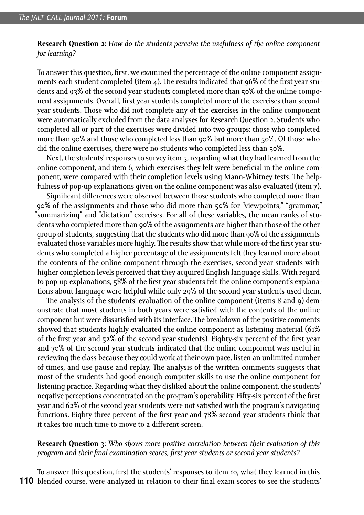**Research Question 2:** *How do the students perceive the usefulness of the online component for learning?*

To answer this question, first, we examined the percentage of the online component assignments each student completed (item 4). The results indicated that 96% of the first year students and 93% of the second year students completed more than 50% of the online component assignments. Overall, first year students completed more of the exercises than second year students. Those who did not complete any of the exercises in the online component were automatically excluded from the data analyses for Research Question 2. Students who completed all or part of the exercises were divided into two groups: those who completed more than 90% and those who completed less than 90% but more than 50%. Of those who did the online exercises, there were no students who completed less than 50%.

Next, the students' responses to survey item  $\tau$ , regarding what they had learned from the online component, and item 6, which exercises they felt were beneficial in the online component, were compared with their completion levels using Mann-Whitney tests. The helpfulness of pop-up explanations given on the online component was also evaluated (item 7).

Significant differences were observed between those students who completed more than 90% of the assignments and those who did more than 50% for "viewpoints," "grammar," "summarizing" and "dictation" exercises. For all of these variables, the mean ranks of students who completed more than 90% of the assignments are higher than those of the other group of students, suggesting that the students who did more than 90% of the assignments evaluated those variables more highly. The results show that while more of the first year students who completed a higher percentage of the assignments felt they learned more about the contents of the online component through the exercises, second year students with higher completion levels perceived that they acquired English language skills. With regard to pop-up explanations, 58% of the first year students felt the online component's explanations about language were helpful while only 29% of the second year students used them.

The analysis of the students' evaluation of the online component (items 8 and 9) demonstrate that most students in both years were satisfied with the contents of the online component but were dissatisfied with its interface. The breakdown of the positive comments showed that students highly evaluated the online component as listening material (61% of the first year and 52% of the second year students). Eighty-six percent of the first year and 70% of the second year students indicated that the online component was useful in reviewing the class because they could work at their own pace, listen an unlimited number of times, and use pause and replay. The analysis of the written comments suggests that most of the students had good enough computer skills to use the online component for listening practice. Regarding what they disliked about the online component, the students' negative perceptions concentrated on the program's operability. Fifty-six percent of the first year and 62% of the second year students were not satisfied with the program's navigating functions. Eighty-three percent of the first year and 78% second year students think that it takes too much time to move to a different screen.

**Research Question** : *Who shows more positive correlation between their evaluation of this program and their final examination scores, first year students or second year students?* 

110 blended course, were analyzed in relation to their final exam scores to see the students' To answer this question, first the students' responses to item 10, what they learned in this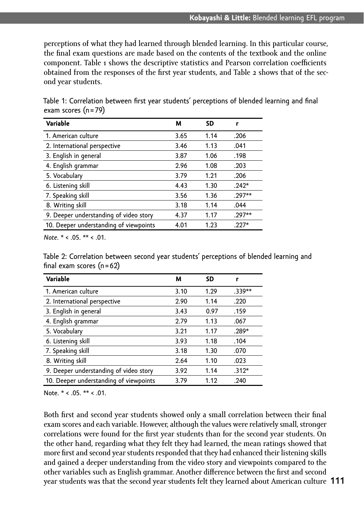perceptions of what they had learned through blended learning. In this particular course, the final exam questions are made based on the contents of the textbook and the online component. Table 1 shows the descriptive statistics and Pearson correlation coefficients obtained from the responses of the first year students, and Table  $\boldsymbol{z}$  shows that of the second year students.

| Variable                               | м    | <b>SD</b> | r        |
|----------------------------------------|------|-----------|----------|
| 1. American culture                    | 3.65 | 1.14      | .206     |
| 2. International perspective           | 3.46 | 1.13      | .041     |
| 3. English in general                  | 3.87 | 1.06      | .198     |
| 4. English grammar                     | 2.96 | 1.08      | .203     |
| 5. Vocabulary                          | 3.79 | 1.21      | .206     |
| 6. Listening skill                     | 4.43 | 1.30      | $.242*$  |
| 7. Speaking skill                      | 3.56 | 1.36      | $.297**$ |
| 8. Writing skill                       | 3.18 | 1.14      | .044     |
| 9. Deeper understanding of video story | 4.37 | 1.17      | $.297**$ |
| 10. Deeper understanding of viewpoints | 4.01 | 1.23      | $.227*$  |

Table 1: Correlation between first year students' perceptions of blended learning and final exam scores (n = 79)

*Note*. \* < .05. \*\* < .01.

Table 2: Correlation between second year students' perceptions of blended learning and final exam scores  $(n = 62)$ 

| Variable                               | м    | SD   | r        |
|----------------------------------------|------|------|----------|
| 1. American culture                    | 3.10 | 1.29 | $.339**$ |
| 2. International perspective           | 2.90 | 1.14 | .220     |
| 3. English in general                  | 3.43 | 0.97 | .159     |
| 4. English grammar                     | 2.79 | 1.13 | .067     |
| 5. Vocabulary                          | 3.21 | 1.17 | $.289*$  |
| 6. Listening skill                     | 3.93 | 1.18 | .104     |
| 7. Speaking skill                      | 3.18 | 1.30 | .070     |
| 8. Writing skill                       | 2.64 | 1.10 | .023     |
| 9. Deeper understanding of video story | 3.92 | 1.14 | $.312*$  |
| 10. Deeper understanding of viewpoints | 3.79 | 1.12 | .240     |

Note. \* < .05. \*\* < .01.

**111** year students was that the second year students felt they learned about American culture Both first and second year students showed only a small correlation between their final exam scores and each variable. However, although the values were relatively small, stronger correlations were found for the first year students than for the second year students. On the other hand, regarding what they felt they had learned, the mean ratings showed that more first and second year students responded that they had enhanced their listening skills and gained a deeper understanding from the video story and viewpoints compared to the other variables such as English grammar. Another difference between the first and second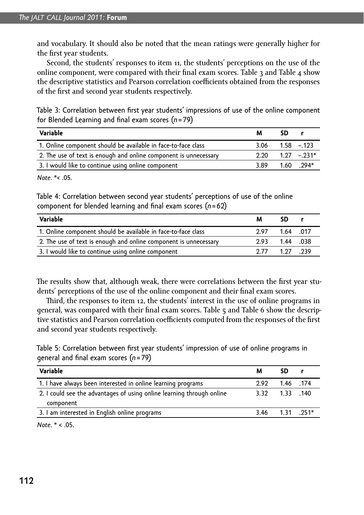and vocabulary. It should also be noted that the mean ratings were generally higher for the first year students.

Second, the students' responses to item 11, the students' perceptions on the use of the online component, were compared with their final exam scores. Table  $\alpha$  and Table  $\alpha$  show the descriptive statistics and Pearson correlation coefficients obtained from the responses of the first and second year students respectively.

Table 3: Correlation between first year students' impressions of use of the online component for Blended Learning and final exam scores (n = 79)

| Variable                                                         | м                                 | SD |                |
|------------------------------------------------------------------|-----------------------------------|----|----------------|
| 1. Online component should be available in face-to-face class    | 3.06                              |    | $1.58 - 123$   |
| 2. The use of text is enough and online component is unnecessary | $2.20 \qquad 1.27 \qquad -0.231*$ |    |                |
| 3. I would like to continue using online component               | 3.89                              |    | $1.60$ $.294*$ |

*Note*<sup>\*</sup>< 05

Table 4: Correlation between second year students' perceptions of use of the online component for blended learning and final exam scores (n=62)

| Variable                                                         | м    | SD        |  |
|------------------------------------------------------------------|------|-----------|--|
| 1. Online component should be available in face-to-face class    | 297  | 1.64 0.17 |  |
| 2. The use of text is enough and online component is unnecessary | 2.93 | 1.44 .038 |  |
| 3. I would like to continue using online component               | 2 77 | 1 27 239  |  |

The results show that, although weak, there were correlations between the first year students' perceptions of the use of the online component and their final exam scores.

Third, the responses to item 12, the students' interest in the use of online programs in general, was compared with their final exam scores. Table 5 and Table 6 show the descriptive statistics and Pearson correlation coefficients computed from the responses of the first and second year students respectively.

Table 5: Correlation between first year students' impression of use of online programs in general and fi nal exam scores (*n* = 79)

| Variable                                                              | м    | SD                |  |
|-----------------------------------------------------------------------|------|-------------------|--|
| 1. I have always been interested in online learning programs          | 2.92 | 1.46 1.74         |  |
| 2. I could see the advantages of using online learning through online |      | 3.32 1.33 140     |  |
| component                                                             |      |                   |  |
| 3. I am interested in English online programs                         |      | $3.46$ 1.31 .251* |  |
|                                                                       |      |                   |  |

*Note*. \* < .05.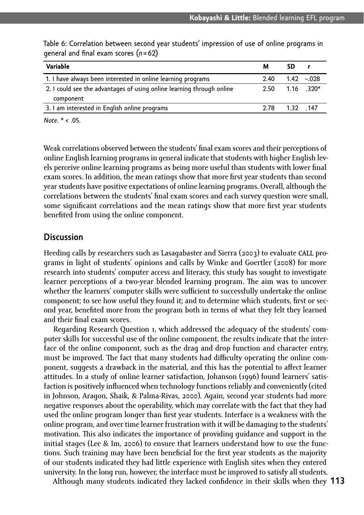| Variable                                                              | м    | sn                    |  |
|-----------------------------------------------------------------------|------|-----------------------|--|
| 1. I have always been interested in online learning programs          | 2.40 | $1.42 - 0.028$        |  |
| 2. I could see the advantages of using online learning through online |      | $2.50$ $1.16$ $.320*$ |  |
| component                                                             |      |                       |  |
| 3. I am interested in English online programs                         | 2.78 | 1.32 147              |  |

Table 6: Correlation between second year students' impression of use of online programs in general and final exam scores  $(n=62)$ 

*Note*. \* < .05.

Weak correlations observed between the students' final exam scores and their perceptions of online English learning programs in general indicate that students with higher English levels perceive online learning programs as being more useful than students with lower final exam scores. In addition, the mean ratings show that more first year students than second year students have positive expectations of online learning programs. Overall, although the correlations between the students' final exam scores and each survey question were small, some significant correlations and the mean ratings show that more first year students benefited from using the online component.

#### **Discussion**

Heeding calls by researchers such as Lasagabaster and Sierra (2003) to evaluate **CALL** programs in light of students' opinions and calls by Winke and Goertler (2008) for more research into students' computer access and literacy, this study has sought to investigate learner perceptions of a two-year blended learning program. The aim was to uncover whether the learners' computer skills were sufficient to successfully undertake the online component; to see how useful they found it; and to determine which students, first or second year, benefited more from the program both in terms of what they felt they learned and their final exam scores.

Regarding Research Question 1, which addressed the adequacy of the students' computer skills for successful use of the online component, the results indicate that the interface of the online component, such as the drag and drop function and character entry, must be improved. The fact that many students had difficulty operating the online component, suggests a drawback in the material, and this has the potential to affect learner attitudes. In a study of online learner satisfaction, Johanson (1996) found learners' satisfaction is positively influenced when technology functions reliably and conveniently (cited in Johnson, Aragon, Shaik, & Palma-Rivas, 2000). Again, second year students had more negative responses about the operability, which may correlate with the fact that they had used the online program longer than first year students. Interface is a weakness with the online program, and over time learner frustration with it will be damaging to the students' motivation. This also indicates the importance of providing guidance and support in the initial stages (Lee & Im, 2006) to ensure that learners understand how to use the functions. Such training may have been beneficial for the first year students as the majority of our students indicated they had little experience with English sites when they entered university. In the long run, however, the interface must be improved to satisfy all students.

Although many students indicated they lacked confidence in their skills when they 113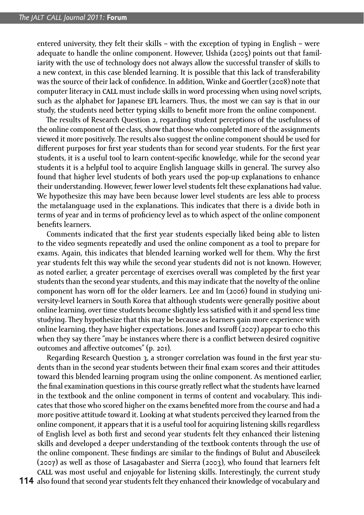entered university, they felt their skills – with the exception of typing in English – were adequate to handle the online component. However, Ushida (2005) points out that familiarity with the use of technology does not always allow the successful transfer of skills to a new context, in this case blended learning. It is possible that this lack of transferability was the source of their lack of confidence. In addition, Winke and Goertler (2008) note that computer literacy in CALL must include skills in word processing when using novel scripts, such as the alphabet for Japanese **EFL** learners. Thus, the most we can say is that in our study, the students need better typing skills to benefit more from the online component.

The results of Research Question 2, regarding student perceptions of the usefulness of the online component of the class, show that those who completed more of the assignments viewed it more positively. The results also suggest the online component should be used for different purposes for first year students than for second year students. For the first year students, it is a useful tool to learn content-specific knowledge, while for the second year students it is a helpful tool to acquire English language skills in general. The survey also found that higher level students of both years used the pop-up explanations to enhance their understanding. However, fewer lower level students felt these explanations had value. We hypothesize this may have been because lower level students are less able to process the metalanguage used in the explanations. This indicates that there is a divide both in terms of year and in terms of proficiency level as to which aspect of the online component benefits learners.

Comments indicated that the first year students especially liked being able to listen to the video segments repeatedly and used the online component as a tool to prepare for exams. Again, this indicates that blended learning worked well for them. Why the first year students felt this way while the second year students did not is not known. However, as noted earlier, a greater percentage of exercises overall was completed by the first year students than the second year students, and this may indicate that the novelty of the online component has worn off for the older learners. Lee and Im (2006) found in studying university-level learners in South Korea that although students were generally positive about online learning, over time students become slightly less satisfied with it and spend less time studying. They hypothesize that this may be because as learners gain more experience with online learning, they have higher expectations. Jones and Issroff (2007) appear to echo this when they say there "may be instances where there is a conflict between desired cognitive outcomes and affective outcomes" (p. 201).

Regarding Research Question 3, a stronger correlation was found in the first year students than in the second year students between their final exam scores and their attitudes toward this blended learning program using the online component. As mentioned earlier, the final examination questions in this course greatly reflect what the students have learned in the textbook and the online component in terms of content and vocabulary. This indicates that those who scored higher on the exams benefited more from the course and had a more positive attitude toward it. Looking at what students perceived they learned from the online component, it appears that it is a useful tool for acquiring listening skills regardless of English level as both first and second year students felt they enhanced their listening skills and developed a deeper understanding of the textbook contents through the use of the online component. These findings are similar to the findings of Bulut and Abuseileek (2007) as well as those of Lasagabaster and Sierra (2003), who found that learners felt CALL was most useful and enjoyable for listening skills. Interestingly, the current study

**114** also found that second year students felt they enhanced their knowledge of vocabulary and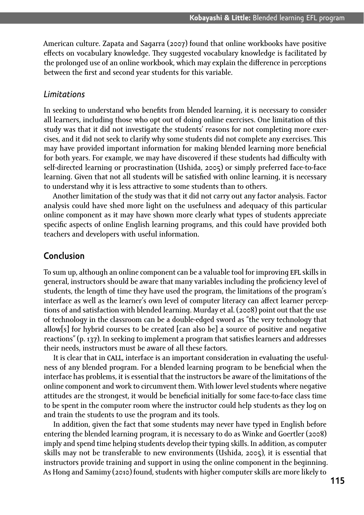American culture. Zapata and Sagarra (2007) found that online workbooks have positive effects on vocabulary knowledge. They suggested vocabulary knowledge is facilitated by the prolonged use of an online workbook, which may explain the difference in perceptions between the first and second year students for this variable.

#### *Limitations*

In seeking to understand who benefits from blended learning, it is necessary to consider all learners, including those who opt out of doing online exercises. One limitation of this study was that it did not investigate the students' reasons for not completing more exercises, and it did not seek to clarify why some students did not complete any exercises. This may have provided important information for making blended learning more beneficial for both years. For example, we may have discovered if these students had difficulty with self-directed learning or procrastination (Ushida, 2005) or simply preferred face-to-face learning. Given that not all students will be satisfied with online learning, it is necessary to understand why it is less attractive to some students than to others.

Another limitation of the study was that it did not carry out any factor analysis. Factor analysis could have shed more light on the usefulness and adequacy of this particular online component as it may have shown more clearly what types of students appreciate specific aspects of online English learning programs, and this could have provided both teachers and developers with useful information.

#### **Conclusion**

To sum up, although an online component can be a valuable tool for improving EFL skills in general, instructors should be aware that many variables including the proficiency level of students, the length of time they have used the program, the limitations of the program's interface as well as the learner's own level of computer literacy can affect learner perceptions of and satisfaction with blended learning. Murday et al. (2008) point out that the use of technology in the classroom can be a double-edged sword as "the very technology that allow[s] for hybrid courses to be created [can also be] a source of positive and negative reactions" (p.  $137$ ). In seeking to implement a program that satisfies learners and addresses their needs, instructors must be aware of all these factors.

It is clear that in CALL, interface is an important consideration in evaluating the usefulness of any blended program. For a blended learning program to be beneficial when the interface has problems, it is essential that the instructors be aware of the limitations of the online component and work to circumvent them. With lower level students where negative attitudes are the strongest, it would be beneficial initially for some face-to-face class time to be spent in the computer room where the instructor could help students as they log on and train the students to use the program and its tools.

In addition, given the fact that some students may never have typed in English before entering the blended learning program, it is necessary to do as Winke and Goertler (2008)  $\,$ imply and spend time helping students develop their typing skills. In addition, as computer skills may not be transferable to new environments (Ushida, 2005), it is essential that instructors provide training and support in using the online component in the beginning. As Hong and Samimy (2010) found, students with higher computer skills are more likely to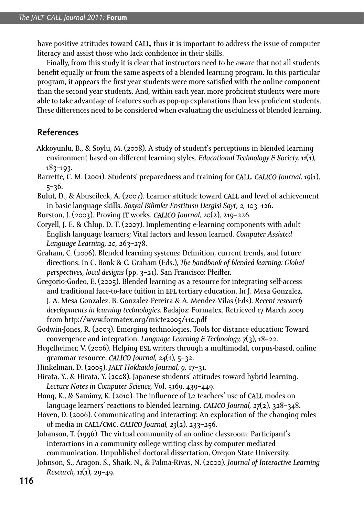have positive attitudes toward **CALL**, thus it is important to address the issue of computer literacy and assist those who lack confidence in their skills.

Finally, from this study it is clear that instructors need to be aware that not all students benefit equally or from the same aspects of a blended learning program. In this particular program, it appears the first year students were more satisfied with the online component than the second year students. And, within each year, more proficient students were more able to take advantage of features such as pop-up explanations than less proficient students. These differences need to be considered when evaluating the usefulness of blended learning.

## **References**

- Akkoyunlu, B., & Soylu, M. (2008). A study of student's perceptions in blended learning environment based on different learning styles. *Educational Technology & Society, 11*(1),  $183 - 193.$
- Barrette, C. M. (2001). Students' preparedness and training for **CALL.** *CALICO Journal, 19(1)***,**  $5 - 36.$
- Bulut, D., & Abuseileek, A. (2007). Learner attitude toward **CALL** and level of achievement in basic language skills. *Sosyal Bilimler Enstitusu Dergisi Sayt, 2,* 103–126.
- Burston, J. (2003). Proving **IT** works. **CALICO** Journal, 20(2), 219–226.
- Coryell, J. E. & Chlup, D. T. (2007). Implementing e-learning components with adult English language learners; Vital factors and lesson learned. *Computer Assisted*  Language Learning, 20, 263–278.
- Graham, C. (2006). Blended learning systems: Definition, current trends, and future directions. In C. Bonk & C. Graham (Eds.), *The handbook of blended learning: Global* p*erspectives, local designs* (pp. 3–21). San Francisco: Pfeiffer.
- Gregorio-Godeo, E. (2005). Blended learning as a resource for integrating self-access and traditional face-to-face tuition in EFL tertiary education. In J. Mesa Gonzalez, J. A. Mesa Gonzalez, B. Gonzalez-Pereira & A. Mendez-Vilas (Eds). *Recent research developments in learning technologies.* Badajoz: Formatex. Retrieved March  from http://www.formatex.org/micte2005/110.pdf
- Godwin-Jones, R. (2003). Emerging technologies. Tools for distance education: Toward convergence and integration. *Language Learning & Technology, 7*(3), 18–22.
- Hegelheimer, V. (2006). Helping **ESL** writers through a multimodal, corpus-based, online grammar resource. **CALICO** Journal, 24(1), 5–32.
- Hinkelman, D. (2005). **JALT** Hokkaido Journal, 9, 17–31.
- Hirata, Y., & Hirata, Y. (2008). Japanese students' attitudes toward hybrid learning. Lecture Notes in Computer Science, Vol. 5169, 439-449.
- Hong, K., & Samimy, K. (2010). The influence of **L**2 teachers' use of **CALL** modes on language learners' reactions to blended learning. **CALICO** Journal, 27(2), 328–348.
- Hoven, D. (2006). Communicating and interacting: An exploration of the changing roles of media in **CALL/CMC.** *CALICO* Journal, 23(2), 233–256.
- Johanson, T. (1996). The virtual community of an online classroom: Participant's interactions in a community college writing class by computer mediated communication. Unpublished doctoral dissertation, Oregon State University.
- Johnson, S., Aragon, S., Shaik, N., & Palma-Rivas, N. (2000). Journal of Interactive Learning Research, 11(1), 29–49.